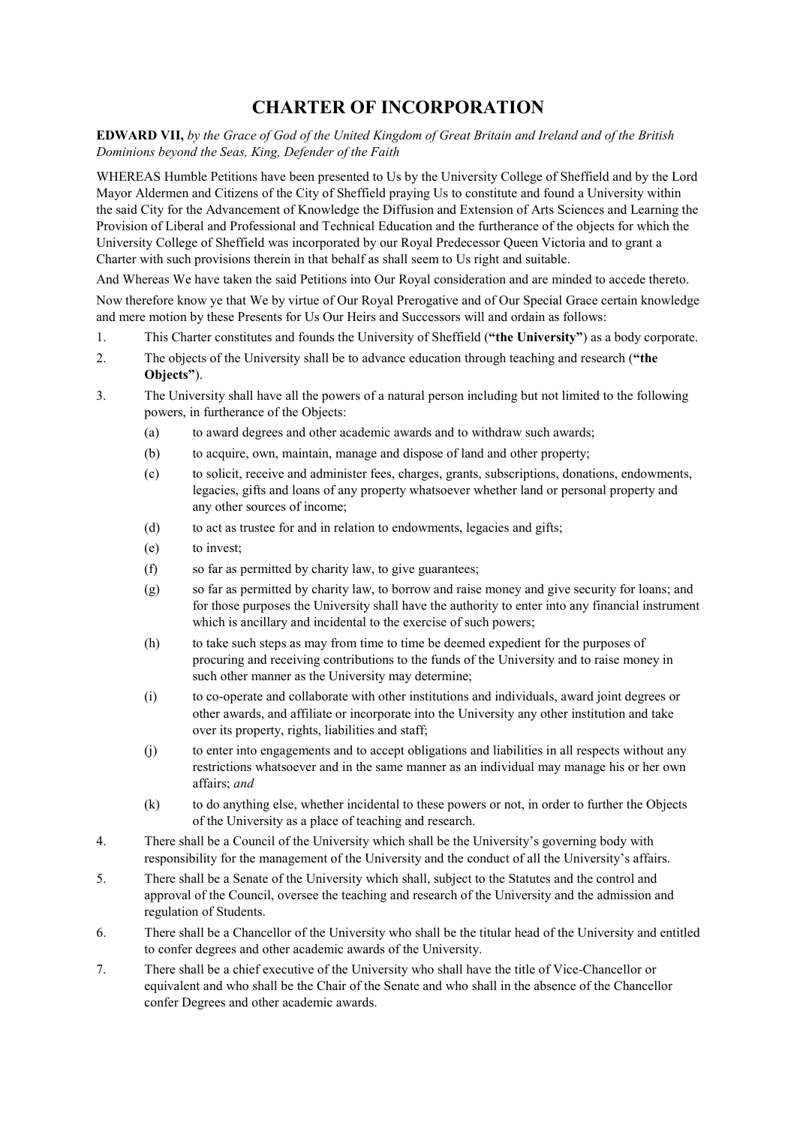## **CHARTER OF INCORPORATION**

**EDWARD VII,** *by the Grace of God of the United Kingdom of Great Britain and Ireland and of the British Dominions beyond the Seas, King, Defender of the Faith*

WHEREAS Humble Petitions have been presented to Us by the University College of Sheffield and by the Lord Mayor Aldermen and Citizens of the City of Sheffield praying Us to constitute and found a University within the said City for the Advancement of Knowledge the Diffusion and Extension of Arts Sciences and Learning the Provision of Liberal and Professional and Technical Education and the furtherance of the objects for which the University College of Sheffield was incorporated by our Royal Predecessor Queen Victoria and to grant a Charter with such provisions therein in that behalf as shall seem to Us right and suitable.

And Whereas We have taken the said Petitions into Our Royal consideration and are minded to accede thereto.

Now therefore know ye that We by virtue of Our Royal Prerogative and of Our Special Grace certain knowledge and mere motion by these Presents for Us Our Heirs and Successors will and ordain as follows:

- 1. This Charter constitutes and founds the University of Sheffield (**"the University"**) as a body corporate.
- 2. The objects of the University shall be to advance education through teaching and research (**"the Objects"**).
- 3. The University shall have all the powers of a natural person including but not limited to the following powers, in furtherance of the Objects:
	- (a) to award degrees and other academic awards and to withdraw such awards;
	- (b) to acquire, own, maintain, manage and dispose of land and other property;
	- (c) to solicit, receive and administer fees, charges, grants, subscriptions, donations, endowments, legacies, gifts and loans of any property whatsoever whether land or personal property and any other sources of income;
	- (d) to act as trustee for and in relation to endowments, legacies and gifts;
	- (e) to invest;
	- (f) so far as permitted by charity law, to give guarantees;
	- (g) so far as permitted by charity law, to borrow and raise money and give security for loans; and for those purposes the University shall have the authority to enter into any financial instrument which is ancillary and incidental to the exercise of such powers;
	- (h) to take such steps as may from time to time be deemed expedient for the purposes of procuring and receiving contributions to the funds of the University and to raise money in such other manner as the University may determine;
	- (i) to co-operate and collaborate with other institutions and individuals, award joint degrees or other awards, and affiliate or incorporate into the University any other institution and take over its property, rights, liabilities and staff;
	- (j) to enter into engagements and to accept obligations and liabilities in all respects without any restrictions whatsoever and in the same manner as an individual may manage his or her own affairs; *and*
	- (k) to do anything else, whether incidental to these powers or not, in order to further the Objects of the University as a place of teaching and research.
- 4. There shall be a Council of the University which shall be the University's governing body with responsibility for the management of the University and the conduct of all the University's affairs.
- 5. There shall be a Senate of the University which shall, subject to the Statutes and the control and approval of the Council, oversee the teaching and research of the University and the admission and regulation of Students.
- 6. There shall be a Chancellor of the University who shall be the titular head of the University and entitled to confer degrees and other academic awards of the University.
- 7. There shall be a chief executive of the University who shall have the title of Vice-Chancellor or equivalent and who shall be the Chair of the Senate and who shall in the absence of the Chancellor confer Degrees and other academic awards.